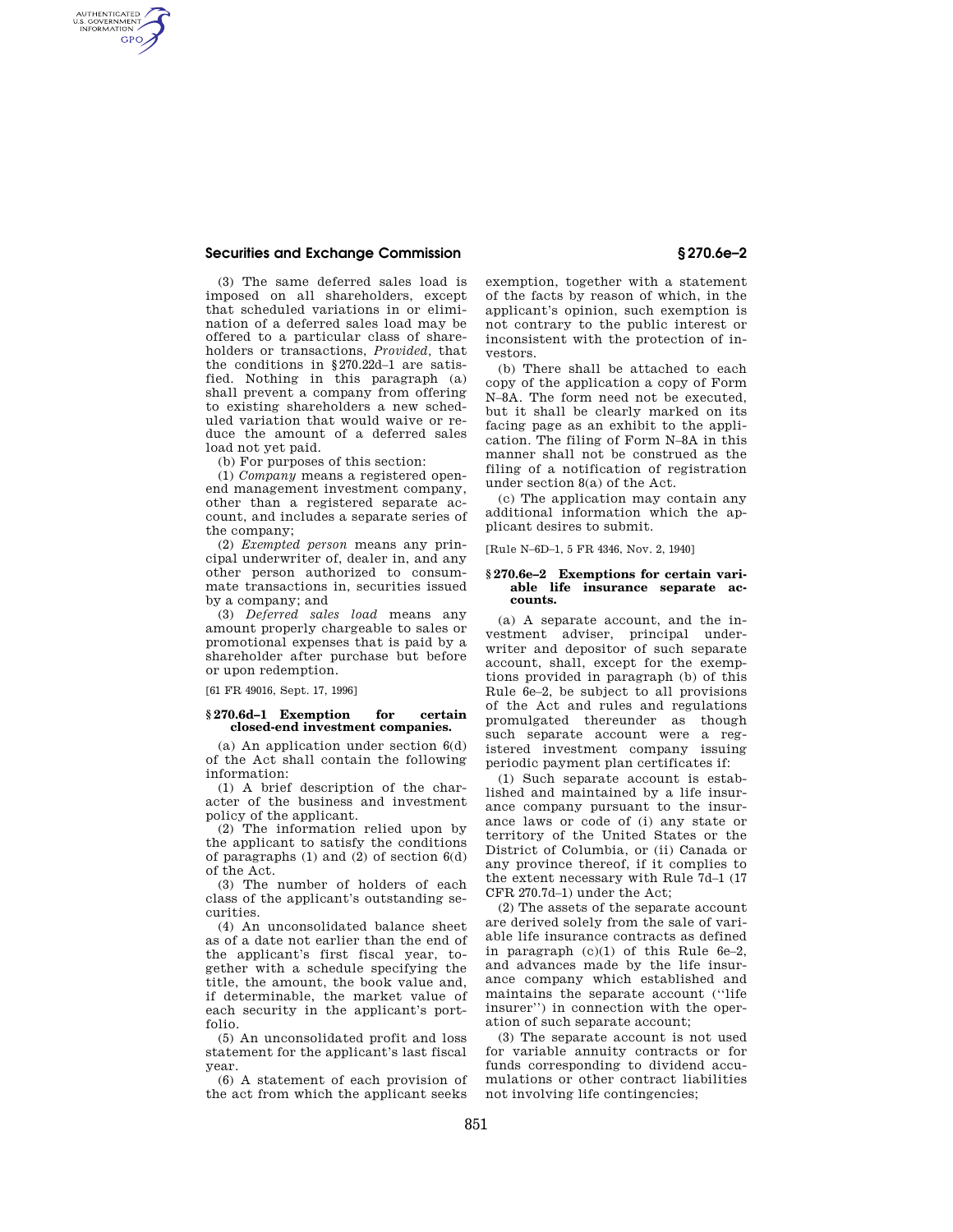AUTHENTICATED<br>U.S. GOVERNMENT<br>INFORMATION **GPO** 

> (3) The same deferred sales load is imposed on all shareholders, except that scheduled variations in or elimination of a deferred sales load may be offered to a particular class of shareholders or transactions, *Provided,* that the conditions in §270.22d–1 are satisfied. Nothing in this paragraph (a) shall prevent a company from offering to existing shareholders a new scheduled variation that would waive or reduce the amount of a deferred sales load not yet paid.

(b) For purposes of this section:

(1) *Company* means a registered openend management investment company, other than a registered separate account, and includes a separate series of the company;

(2) *Exempted person* means any principal underwriter of, dealer in, and any other person authorized to consummate transactions in, securities issued by a company; and

(3) *Deferred sales load* means any amount properly chargeable to sales or promotional expenses that is paid by a shareholder after purchase but before or upon redemption.

[61 FR 49016, Sept. 17, 1996]

#### **§ 270.6d–1 Exemption for certain closed-end investment companies.**

(a) An application under section 6(d) of the Act shall contain the following information:

(1) A brief description of the character of the business and investment policy of the applicant.

(2) The information relied upon by the applicant to satisfy the conditions of paragraphs  $(1)$  and  $(2)$  of section  $6(d)$ of the Act.

(3) The number of holders of each class of the applicant's outstanding securities.

(4) An unconsolidated balance sheet as of a date not earlier than the end of the applicant's first fiscal year, together with a schedule specifying the title, the amount, the book value and, if determinable, the market value of each security in the applicant's portfolio.

(5) An unconsolidated profit and loss statement for the applicant's last fiscal year.

(6) A statement of each provision of the act from which the applicant seeks

exemption, together with a statement of the facts by reason of which, in the applicant's opinion, such exemption is not contrary to the public interest or inconsistent with the protection of investors.

(b) There shall be attached to each copy of the application a copy of Form N–8A. The form need not be executed, but it shall be clearly marked on its facing page as an exhibit to the application. The filing of Form N–8A in this manner shall not be construed as the filing of a notification of registration under section 8(a) of the Act.

(c) The application may contain any additional information which the applicant desires to submit.

[Rule N–6D–1, 5 FR 4346, Nov. 2, 1940]

#### **§ 270.6e–2 Exemptions for certain variable life insurance separate accounts.**

(a) A separate account, and the investment adviser, principal underwriter and depositor of such separate account, shall, except for the exemptions provided in paragraph (b) of this Rule 6e–2, be subject to all provisions of the Act and rules and regulations promulgated thereunder as though such separate account were a registered investment company issuing periodic payment plan certificates if:

(1) Such separate account is established and maintained by a life insurance company pursuant to the insurance laws or code of (i) any state or territory of the United States or the District of Columbia, or (ii) Canada or any province thereof, if it complies to the extent necessary with Rule 7d–1 (17 CFR 270.7d–1) under the Act;

(2) The assets of the separate account are derived solely from the sale of variable life insurance contracts as defined in paragraph (c)(1) of this Rule 6e–2, and advances made by the life insurance company which established and maintains the separate account (''life insurer'') in connection with the operation of such separate account;

(3) The separate account is not used for variable annuity contracts or for funds corresponding to dividend accumulations or other contract liabilities not involving life contingencies;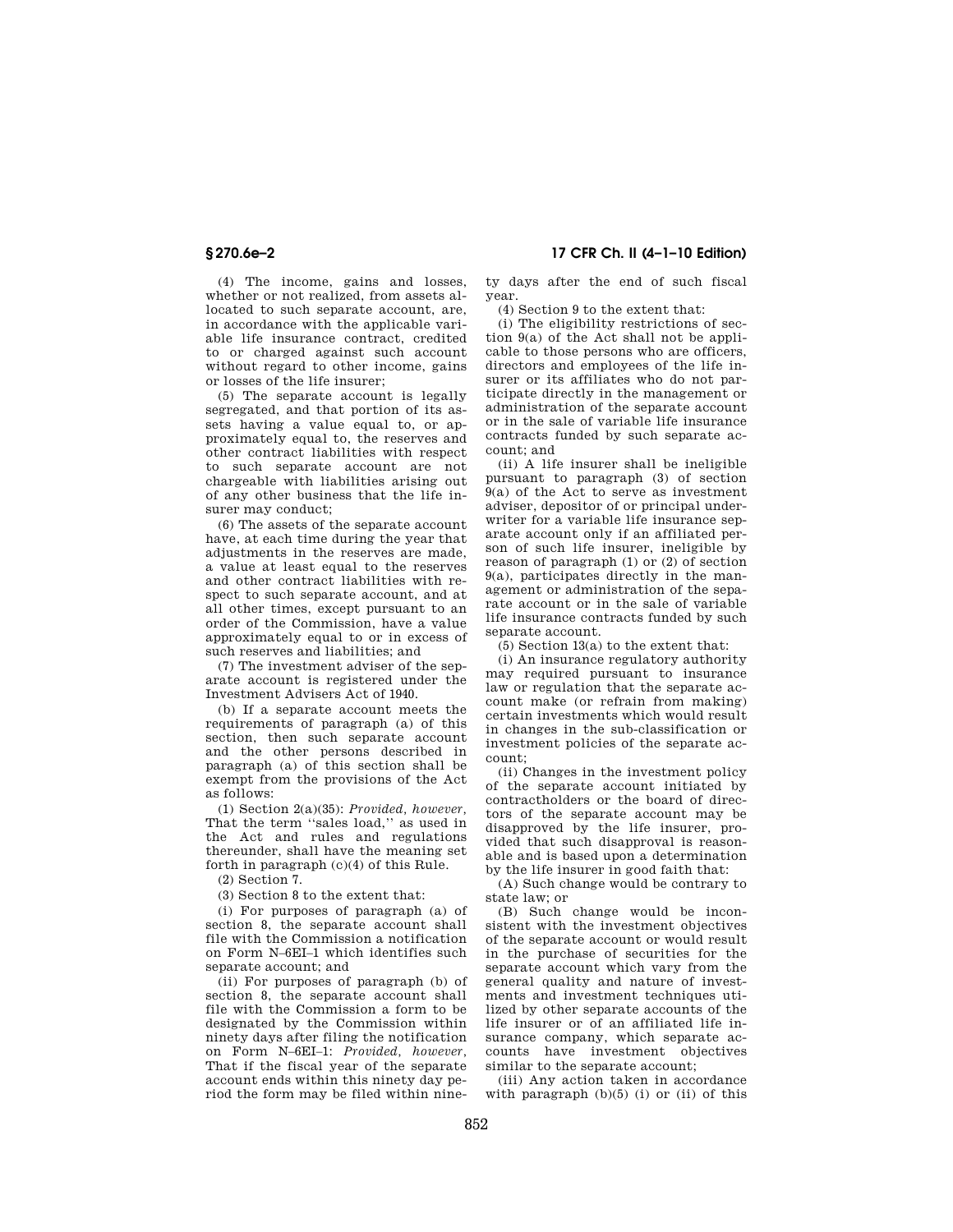(4) The income, gains and losses, whether or not realized, from assets allocated to such separate account, are, in accordance with the applicable variable life insurance contract, credited to or charged against such account without regard to other income, gains or losses of the life insurer;

(5) The separate account is legally segregated, and that portion of its assets having a value equal to, or approximately equal to, the reserves and other contract liabilities with respect to such separate account are not chargeable with liabilities arising out of any other business that the life insurer may conduct;

(6) The assets of the separate account have, at each time during the year that adjustments in the reserves are made, a value at least equal to the reserves and other contract liabilities with respect to such separate account, and at all other times, except pursuant to an order of the Commission, have a value approximately equal to or in excess of such reserves and liabilities; and

(7) The investment adviser of the separate account is registered under the Investment Advisers Act of 1940.

(b) If a separate account meets the requirements of paragraph (a) of this section, then such separate account and the other persons described in paragraph (a) of this section shall be exempt from the provisions of the Act as follows:

(1) Section 2(a)(35): *Provided, however,*  That the term ''sales load,'' as used in the Act and rules and regulations thereunder, shall have the meaning set forth in paragraph (c)(4) of this Rule.

(2) Section 7.

(3) Section 8 to the extent that:

(i) For purposes of paragraph (a) of section 8, the separate account shall file with the Commission a notification on Form N–6EI–1 which identifies such separate account; and

(ii) For purposes of paragraph (b) of section 8, the separate account shall file with the Commission a form to be designated by the Commission within ninety days after filing the notification on Form N–6EI–1: *Provided, however,*  That if the fiscal year of the separate account ends within this ninety day period the form may be filed within nine-

**§ 270.6e–2 17 CFR Ch. II (4–1–10 Edition)** 

ty days after the end of such fiscal year.

(4) Section 9 to the extent that:

(i) The eligibility restrictions of section 9(a) of the Act shall not be applicable to those persons who are officers, directors and employees of the life insurer or its affiliates who do not participate directly in the management or administration of the separate account or in the sale of variable life insurance contracts funded by such separate account; and

(ii) A life insurer shall be ineligible pursuant to paragraph (3) of section 9(a) of the Act to serve as investment adviser, depositor of or principal underwriter for a variable life insurance separate account only if an affiliated person of such life insurer, ineligible by reason of paragraph (1) or (2) of section 9(a), participates directly in the management or administration of the separate account or in the sale of variable life insurance contracts funded by such separate account.

(5) Section 13(a) to the extent that:

(i) An insurance regulatory authority may required pursuant to insurance law or regulation that the separate account make (or refrain from making) certain investments which would result in changes in the sub-classification or investment policies of the separate account;

(ii) Changes in the investment policy of the separate account initiated by contractholders or the board of directors of the separate account may be disapproved by the life insurer, provided that such disapproval is reasonable and is based upon a determination by the life insurer in good faith that:

(A) Such change would be contrary to state law; or

(B) Such change would be inconsistent with the investment objectives of the separate account or would result in the purchase of securities for the separate account which vary from the general quality and nature of investments and investment techniques utilized by other separate accounts of the life insurer or of an affiliated life insurance company, which separate accounts have investment objectives similar to the separate account;

(iii) Any action taken in accordance with paragraph  $(b)(5)$  (i) or (ii) of this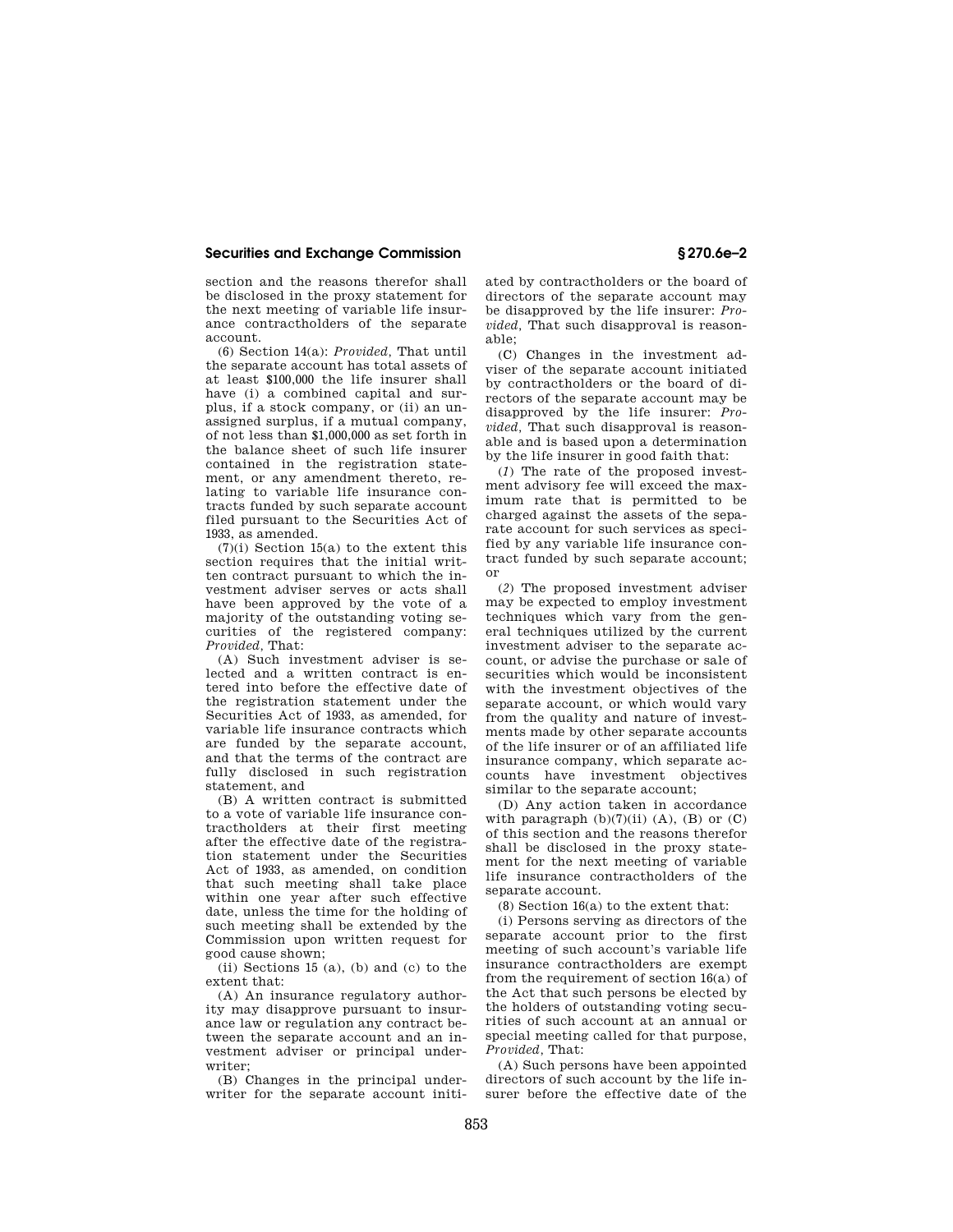section and the reasons therefor shall be disclosed in the proxy statement for the next meeting of variable life insurance contractholders of the separate account.

(6) Section 14(a): *Provided,* That until the separate account has total assets of at least \$100,000 the life insurer shall have (i) a combined capital and surplus, if a stock company, or (ii) an unassigned surplus, if a mutual company, of not less than \$1,000,000 as set forth in the balance sheet of such life insurer contained in the registration statement, or any amendment thereto, relating to variable life insurance contracts funded by such separate account filed pursuant to the Securities Act of 1933, as amended.

 $(7)(i)$  Section 15(a) to the extent this section requires that the initial written contract pursuant to which the investment adviser serves or acts shall have been approved by the vote of a majority of the outstanding voting securities of the registered company: *Provided,* That:

(A) Such investment adviser is selected and a written contract is entered into before the effective date of the registration statement under the Securities Act of 1933, as amended, for variable life insurance contracts which are funded by the separate account, and that the terms of the contract are fully disclosed in such registration statement, and

(B) A written contract is submitted to a vote of variable life insurance contractholders at their first meeting after the effective date of the registration statement under the Securities Act of 1933, as amended, on condition that such meeting shall take place within one year after such effective date, unless the time for the holding of such meeting shall be extended by the Commission upon written request for good cause shown;

(ii) Sections 15 (a), (b) and (c) to the extent that:

(A) An insurance regulatory authority may disapprove pursuant to insurance law or regulation any contract between the separate account and an investment adviser or principal underwriter;

(B) Changes in the principal underwriter for the separate account initiated by contractholders or the board of directors of the separate account may be disapproved by the life insurer: *Provided,* That such disapproval is reasonable;

(C) Changes in the investment adviser of the separate account initiated by contractholders or the board of directors of the separate account may be disapproved by the life insurer: *Provided,* That such disapproval is reasonable and is based upon a determination by the life insurer in good faith that:

(*1*) The rate of the proposed investment advisory fee will exceed the maximum rate that is permitted to be charged against the assets of the separate account for such services as specified by any variable life insurance contract funded by such separate account; or

(*2*) The proposed investment adviser may be expected to employ investment techniques which vary from the general techniques utilized by the current investment adviser to the separate account, or advise the purchase or sale of securities which would be inconsistent with the investment objectives of the separate account, or which would vary from the quality and nature of investments made by other separate accounts of the life insurer or of an affiliated life insurance company, which separate accounts have investment objectives similar to the separate account;

(D) Any action taken in accordance with paragraph  $(b)(7)(ii)$   $(A)$ ,  $(B)$  or  $(C)$ of this section and the reasons therefor shall be disclosed in the proxy statement for the next meeting of variable life insurance contractholders of the separate account.

(8) Section 16(a) to the extent that:

(i) Persons serving as directors of the separate account prior to the first meeting of such account's variable life insurance contractholders are exempt from the requirement of section 16(a) of the Act that such persons be elected by the holders of outstanding voting securities of such account at an annual or special meeting called for that purpose, *Provided,* That:

(A) Such persons have been appointed directors of such account by the life insurer before the effective date of the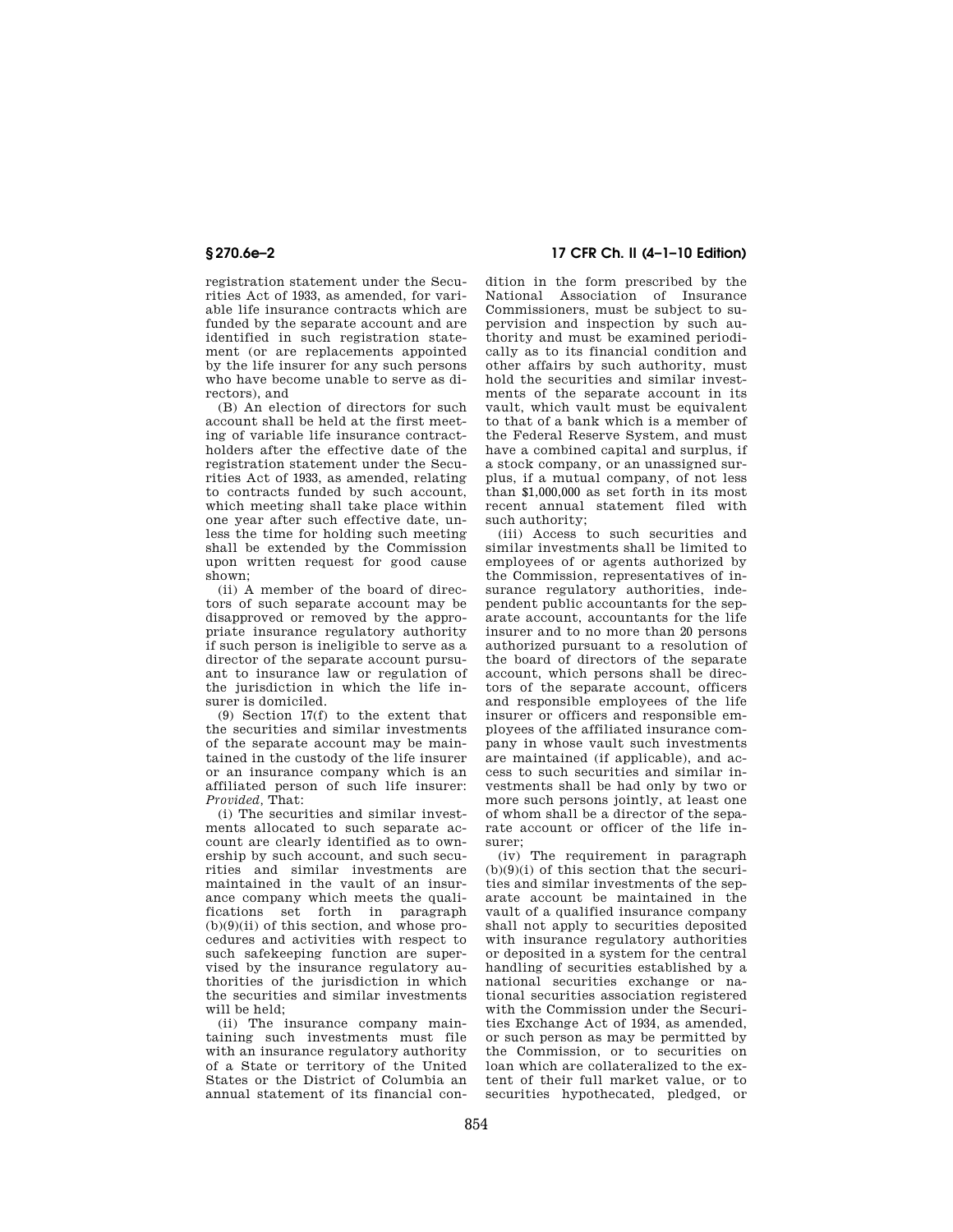registration statement under the Securities Act of 1933, as amended, for variable life insurance contracts which are funded by the separate account and are identified in such registration statement (or are replacements appointed by the life insurer for any such persons who have become unable to serve as directors), and

(B) An election of directors for such account shall be held at the first meeting of variable life insurance contractholders after the effective date of the registration statement under the Securities Act of 1933, as amended, relating to contracts funded by such account, which meeting shall take place within one year after such effective date, unless the time for holding such meeting shall be extended by the Commission upon written request for good cause shown;

(ii) A member of the board of directors of such separate account may be disapproved or removed by the appropriate insurance regulatory authority if such person is ineligible to serve as a director of the separate account pursuant to insurance law or regulation of the jurisdiction in which the life insurer is domiciled.

(9) Section 17(f) to the extent that the securities and similar investments of the separate account may be maintained in the custody of the life insurer or an insurance company which is an affiliated person of such life insurer: *Provided,* That:

(i) The securities and similar investments allocated to such separate account are clearly identified as to ownership by such account, and such securities and similar investments are maintained in the vault of an insurance company which meets the qualifications set forth in paragraph  $(b)(9)(ii)$  of this section, and whose procedures and activities with respect to such safekeeping function are supervised by the insurance regulatory authorities of the jurisdiction in which the securities and similar investments will be held;

(ii) The insurance company maintaining such investments must file with an insurance regulatory authority of a State or territory of the United States or the District of Columbia an annual statement of its financial con-

**§ 270.6e–2 17 CFR Ch. II (4–1–10 Edition)** 

dition in the form prescribed by the National Association of Insurance Commissioners, must be subject to supervision and inspection by such authority and must be examined periodically as to its financial condition and other affairs by such authority, must hold the securities and similar investments of the separate account in its vault, which vault must be equivalent to that of a bank which is a member of the Federal Reserve System, and must have a combined capital and surplus, if a stock company, or an unassigned surplus, if a mutual company, of not less than \$1,000,000 as set forth in its most recent annual statement filed with such authority;

(iii) Access to such securities and similar investments shall be limited to employees of or agents authorized by the Commission, representatives of insurance regulatory authorities, independent public accountants for the separate account, accountants for the life insurer and to no more than 20 persons authorized pursuant to a resolution of the board of directors of the separate account, which persons shall be directors of the separate account, officers and responsible employees of the life insurer or officers and responsible employees of the affiliated insurance company in whose vault such investments are maintained (if applicable), and access to such securities and similar investments shall be had only by two or more such persons jointly, at least one of whom shall be a director of the separate account or officer of the life insurer;

(iv) The requirement in paragraph  $(b)(9)(i)$  of this section that the securities and similar investments of the separate account be maintained in the vault of a qualified insurance company shall not apply to securities deposited with insurance regulatory authorities or deposited in a system for the central handling of securities established by a national securities exchange or national securities association registered with the Commission under the Securities Exchange Act of 1934, as amended, or such person as may be permitted by the Commission, or to securities on loan which are collateralized to the extent of their full market value, or to securities hypothecated, pledged, or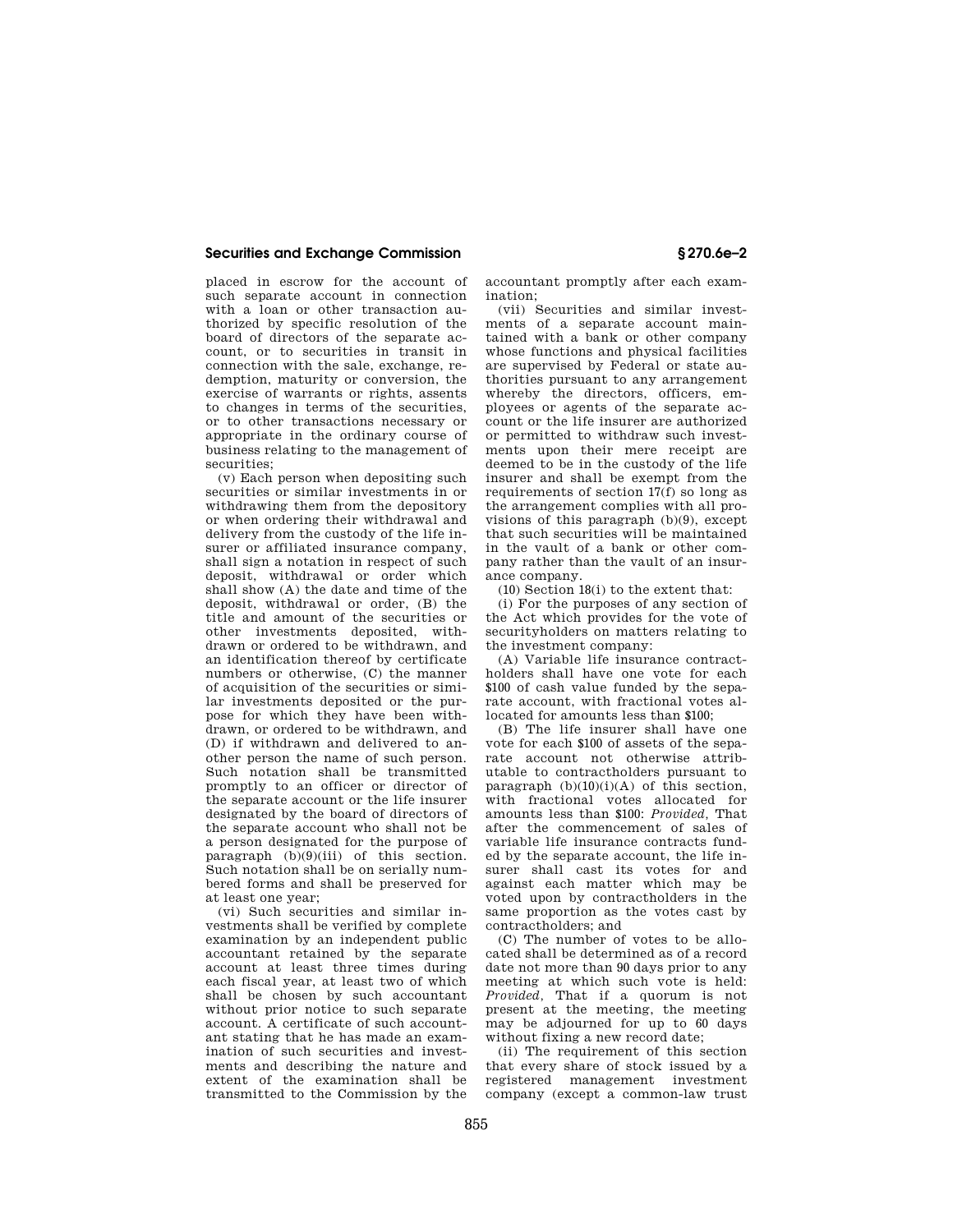placed in escrow for the account of such separate account in connection with a loan or other transaction authorized by specific resolution of the board of directors of the separate account, or to securities in transit in connection with the sale, exchange, redemption, maturity or conversion, the exercise of warrants or rights, assents to changes in terms of the securities, or to other transactions necessary or appropriate in the ordinary course of business relating to the management of securities;

(v) Each person when depositing such securities or similar investments in or withdrawing them from the depository or when ordering their withdrawal and delivery from the custody of the life insurer or affiliated insurance company, shall sign a notation in respect of such deposit, withdrawal or order which shall show (A) the date and time of the deposit, withdrawal or order, (B) the title and amount of the securities or other investments deposited, withdrawn or ordered to be withdrawn, and an identification thereof by certificate numbers or otherwise, (C) the manner of acquisition of the securities or similar investments deposited or the purpose for which they have been withdrawn, or ordered to be withdrawn, and (D) if withdrawn and delivered to another person the name of such person. Such notation shall be transmitted promptly to an officer or director of the separate account or the life insurer designated by the board of directors of the separate account who shall not be a person designated for the purpose of paragraph (b)(9)(iii) of this section. Such notation shall be on serially numbered forms and shall be preserved for at least one year;

(vi) Such securities and similar investments shall be verified by complete examination by an independent public accountant retained by the separate account at least three times during each fiscal year, at least two of which shall be chosen by such accountant without prior notice to such separate account. A certificate of such accountant stating that he has made an examination of such securities and investments and describing the nature and extent of the examination shall be transmitted to the Commission by the

accountant promptly after each examination;

(vii) Securities and similar investments of a separate account maintained with a bank or other company whose functions and physical facilities are supervised by Federal or state authorities pursuant to any arrangement whereby the directors, officers, employees or agents of the separate account or the life insurer are authorized or permitted to withdraw such investments upon their mere receipt are deemed to be in the custody of the life insurer and shall be exempt from the requirements of section 17(f) so long as the arrangement complies with all provisions of this paragraph (b)(9), except that such securities will be maintained in the vault of a bank or other company rather than the vault of an insurance company.

(10) Section 18(i) to the extent that:

(i) For the purposes of any section of the Act which provides for the vote of securityholders on matters relating to the investment company:

(A) Variable life insurance contractholders shall have one vote for each \$100 of cash value funded by the separate account, with fractional votes allocated for amounts less than \$100;

(B) The life insurer shall have one vote for each \$100 of assets of the separate account not otherwise attributable to contractholders pursuant to paragraph  $(b)(10)(i)(A)$  of this section. with fractional votes allocated for amounts less than \$100: *Provided,* That after the commencement of sales of variable life insurance contracts funded by the separate account, the life insurer shall cast its votes for and against each matter which may be voted upon by contractholders in the same proportion as the votes cast by contractholders; and

(C) The number of votes to be allocated shall be determined as of a record date not more than 90 days prior to any meeting at which such vote is held: *Provided,* That if a quorum is not present at the meeting, the meeting may be adjourned for up to 60 days without fixing a new record date;

(ii) The requirement of this section that every share of stock issued by a registered management investment company (except a common-law trust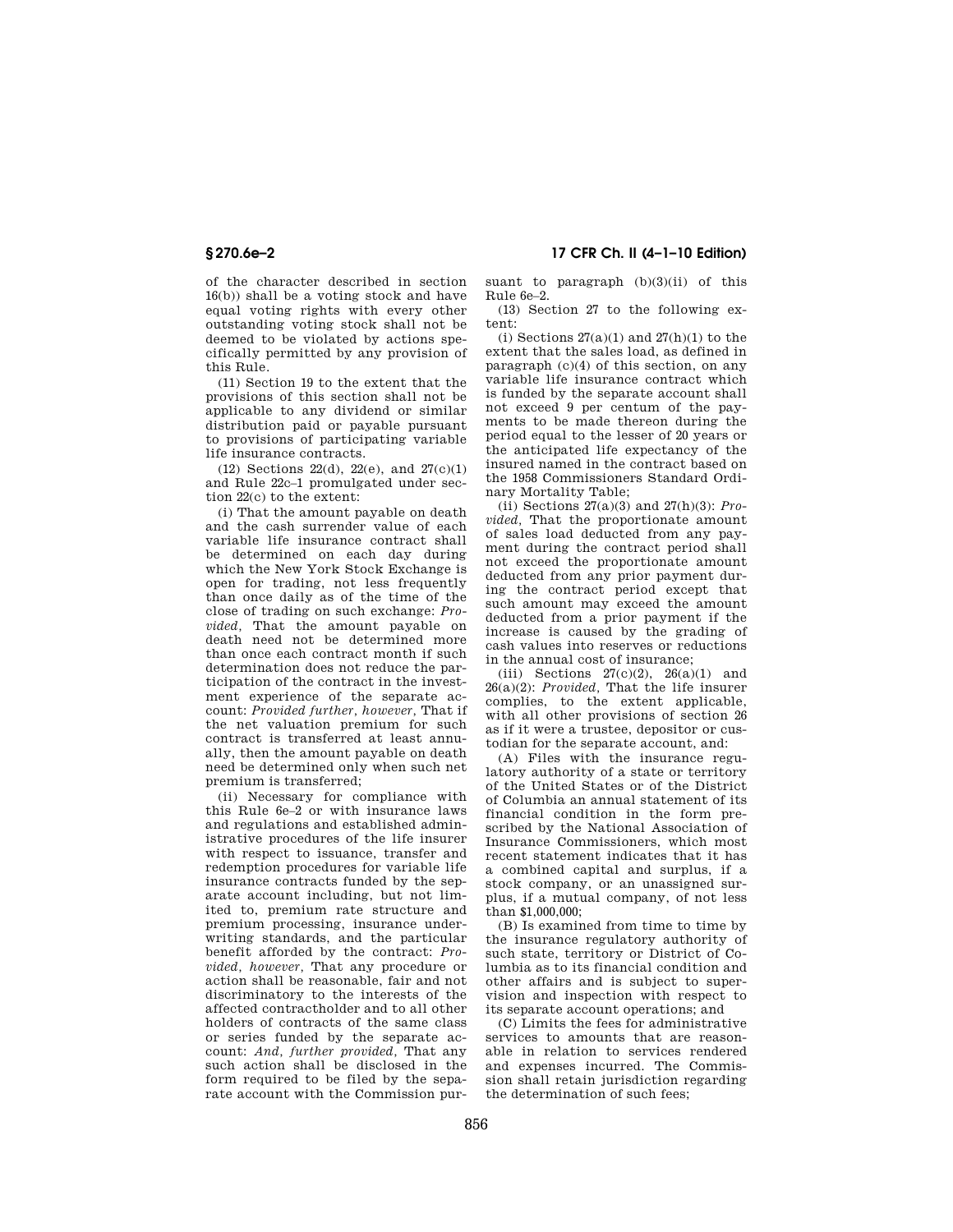of the character described in section 16(b)) shall be a voting stock and have equal voting rights with every other outstanding voting stock shall not be deemed to be violated by actions specifically permitted by any provision of this Rule.

(11) Section 19 to the extent that the provisions of this section shall not be applicable to any dividend or similar distribution paid or payable pursuant to provisions of participating variable life insurance contracts.

(12) Sections 22(d), 22(e), and 27(c)(1) and Rule 22c–1 promulgated under section 22(c) to the extent:

(i) That the amount payable on death and the cash surrender value of each variable life insurance contract shall be determined on each day during which the New York Stock Exchange is open for trading, not less frequently than once daily as of the time of the close of trading on such exchange: *Provided,* That the amount payable on death need not be determined more than once each contract month if such determination does not reduce the participation of the contract in the investment experience of the separate account: *Provided further, however,* That if the net valuation premium for such contract is transferred at least annually, then the amount payable on death need be determined only when such net premium is transferred;

(ii) Necessary for compliance with this Rule 6e–2 or with insurance laws and regulations and established administrative procedures of the life insurer with respect to issuance, transfer and redemption procedures for variable life insurance contracts funded by the separate account including, but not limited to, premium rate structure and premium processing, insurance underwriting standards, and the particular benefit afforded by the contract: *Provided, however,* That any procedure or action shall be reasonable, fair and not discriminatory to the interests of the affected contractholder and to all other holders of contracts of the same class or series funded by the separate account: *And, further provided,* That any such action shall be disclosed in the form required to be filed by the separate account with the Commission pur-

**§ 270.6e–2 17 CFR Ch. II (4–1–10 Edition)** 

suant to paragraph  $(b)(3)(ii)$  of this Rule 6e–2.

(13) Section 27 to the following extent:

(i) Sections  $27(a)(1)$  and  $27(h)(1)$  to the extent that the sales load, as defined in paragraph (c)(4) of this section, on any variable life insurance contract which is funded by the separate account shall not exceed 9 per centum of the payments to be made thereon during the period equal to the lesser of 20 years or the anticipated life expectancy of the insured named in the contract based on the 1958 Commissioners Standard Ordinary Mortality Table;

(ii) Sections 27(a)(3) and 27(h)(3): *Provided,* That the proportionate amount of sales load deducted from any payment during the contract period shall not exceed the proportionate amount deducted from any prior payment during the contract period except that such amount may exceed the amount deducted from a prior payment if the increase is caused by the grading of cash values into reserves or reductions in the annual cost of insurance;

(iii) Sections  $27(c)(2)$ ,  $26(a)(1)$  and 26(a)(2): *Provided,* That the life insurer complies, to the extent applicable, with all other provisions of section 26 as if it were a trustee, depositor or custodian for the separate account, and:

(A) Files with the insurance regulatory authority of a state or territory of the United States or of the District of Columbia an annual statement of its financial condition in the form prescribed by the National Association of Insurance Commissioners, which most recent statement indicates that it has a combined capital and surplus, if a stock company, or an unassigned surplus, if a mutual company, of not less than \$1,000,000;

(B) Is examined from time to time by the insurance regulatory authority of such state, territory or District of Columbia as to its financial condition and other affairs and is subject to supervision and inspection with respect to its separate account operations; and

(C) Limits the fees for administrative services to amounts that are reasonable in relation to services rendered and expenses incurred. The Commission shall retain jurisdiction regarding the determination of such fees;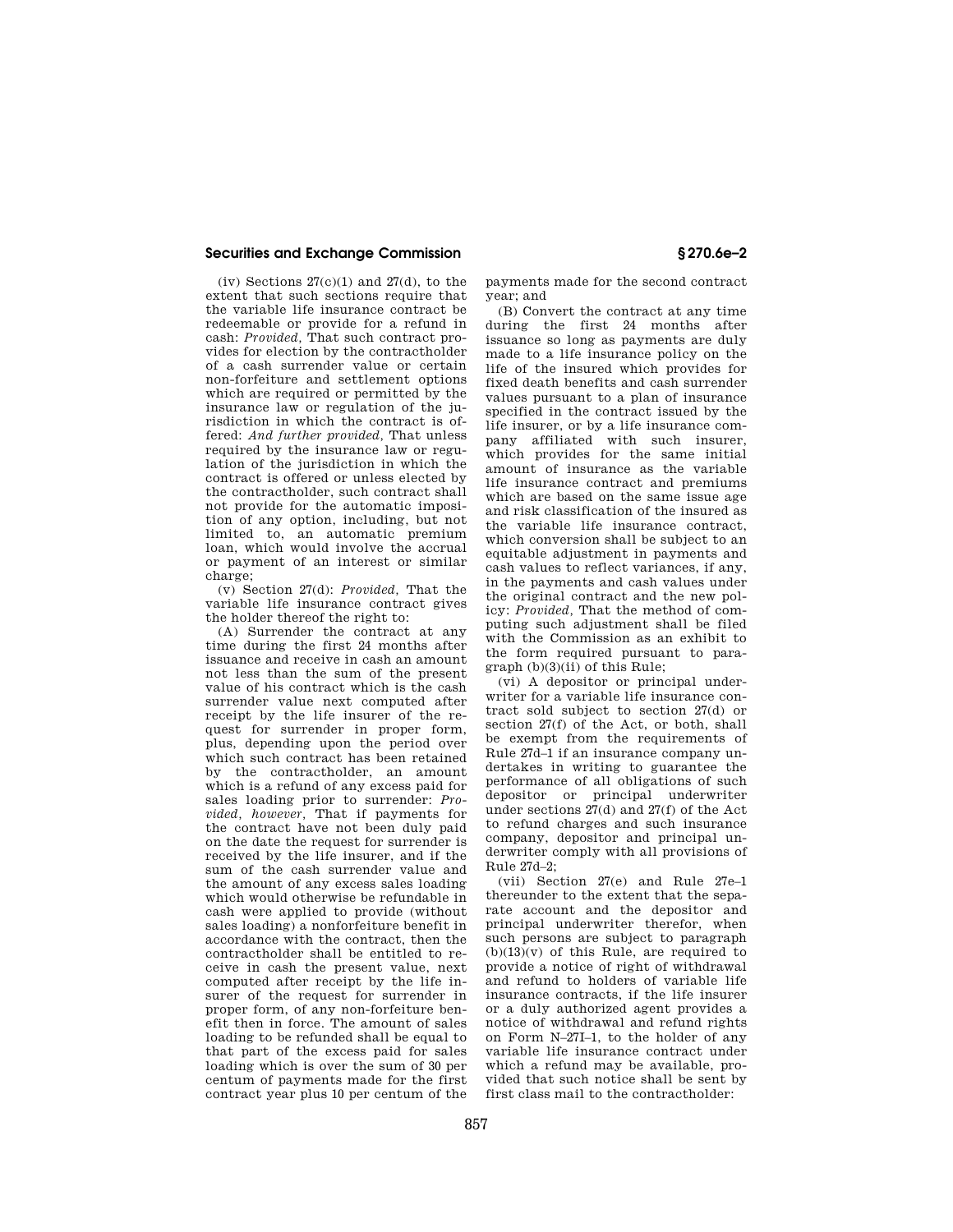(iv) Sections  $27(c)(1)$  and  $27(d)$ , to the extent that such sections require that the variable life insurance contract be redeemable or provide for a refund in cash: *Provided,* That such contract provides for election by the contractholder of a cash surrender value or certain non-forfeiture and settlement options which are required or permitted by the insurance law or regulation of the jurisdiction in which the contract is offered: *And further provided,* That unless required by the insurance law or regulation of the jurisdiction in which the contract is offered or unless elected by the contractholder, such contract shall not provide for the automatic imposition of any option, including, but not limited to, an automatic premium loan, which would involve the accrual or payment of an interest or similar charge;

(v) Section 27(d): *Provided,* That the variable life insurance contract gives the holder thereof the right to:

(A) Surrender the contract at any time during the first 24 months after issuance and receive in cash an amount not less than the sum of the present value of his contract which is the cash surrender value next computed after receipt by the life insurer of the request for surrender in proper form, plus, depending upon the period over which such contract has been retained by the contractholder, an amount which is a refund of any excess paid for sales loading prior to surrender: *Provided, however,* That if payments for the contract have not been duly paid on the date the request for surrender is received by the life insurer, and if the sum of the cash surrender value and the amount of any excess sales loading which would otherwise be refundable in cash were applied to provide (without sales loading) a nonforfeiture benefit in accordance with the contract, then the contractholder shall be entitled to receive in cash the present value, next computed after receipt by the life insurer of the request for surrender in proper form, of any non-forfeiture benefit then in force. The amount of sales loading to be refunded shall be equal to that part of the excess paid for sales loading which is over the sum of 30 per centum of payments made for the first contract year plus 10 per centum of the

payments made for the second contract year; and

(B) Convert the contract at any time during the first 24 months after issuance so long as payments are duly made to a life insurance policy on the life of the insured which provides for fixed death benefits and cash surrender values pursuant to a plan of insurance specified in the contract issued by the life insurer, or by a life insurance company affiliated with such insurer, which provides for the same initial amount of insurance as the variable life insurance contract and premiums which are based on the same issue age and risk classification of the insured as the variable life insurance contract, which conversion shall be subject to an equitable adjustment in payments and cash values to reflect variances, if any, in the payments and cash values under the original contract and the new policy: *Provided,* That the method of computing such adjustment shall be filed with the Commission as an exhibit to the form required pursuant to paragraph (b)(3)(ii) of this Rule;

(vi) A depositor or principal underwriter for a variable life insurance contract sold subject to section 27(d) or section 27(f) of the Act, or both, shall be exempt from the requirements of Rule 27d–1 if an insurance company undertakes in writing to guarantee the performance of all obligations of such depositor or principal underwriter under sections 27(d) and 27(f) of the Act to refund charges and such insurance company, depositor and principal underwriter comply with all provisions of Rule 27d–2;

(vii) Section 27(e) and Rule 27e–1 thereunder to the extent that the separate account and the depositor and principal underwriter therefor, when such persons are subject to paragraph  $(b)(13)(v)$  of this Rule, are required to provide a notice of right of withdrawal and refund to holders of variable life insurance contracts, if the life insurer or a duly authorized agent provides a notice of withdrawal and refund rights on Form N–27I–1, to the holder of any variable life insurance contract under which a refund may be available, provided that such notice shall be sent by first class mail to the contractholder: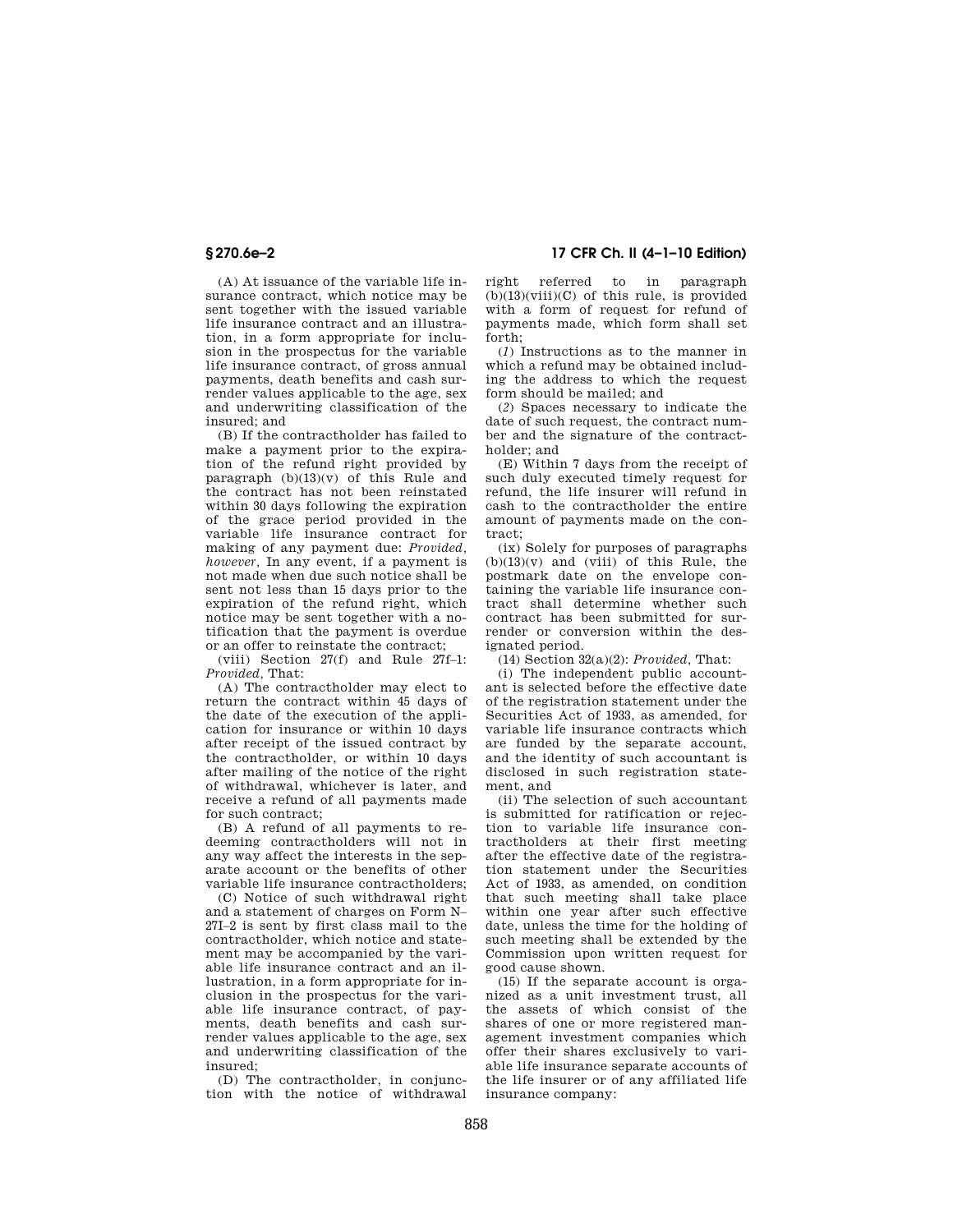**§ 270.6e–2 17 CFR Ch. II (4–1–10 Edition)** 

(A) At issuance of the variable life insurance contract, which notice may be sent together with the issued variable life insurance contract and an illustration, in a form appropriate for inclusion in the prospectus for the variable life insurance contract, of gross annual payments, death benefits and cash surrender values applicable to the age, sex and underwriting classification of the insured; and

(B) If the contractholder has failed to make a payment prior to the expiration of the refund right provided by paragraph  $(b)(13)(v)$  of this Rule and the contract has not been reinstated within 30 days following the expiration of the grace period provided in the variable life insurance contract for making of any payment due: *Provided, however,* In any event, if a payment is not made when due such notice shall be sent not less than 15 days prior to the expiration of the refund right, which notice may be sent together with a notification that the payment is overdue or an offer to reinstate the contract;

(viii) Section 27(f) and Rule 27f–1: *Provided,* That:

(A) The contractholder may elect to return the contract within 45 days of the date of the execution of the application for insurance or within 10 days after receipt of the issued contract by the contractholder, or within 10 days after mailing of the notice of the right of withdrawal, whichever is later, and receive a refund of all payments made for such contract;

(B) A refund of all payments to redeeming contractholders will not in any way affect the interests in the separate account or the benefits of other variable life insurance contractholders;

(C) Notice of such withdrawal right and a statement of charges on Form N– 27I–2 is sent by first class mail to the contractholder, which notice and statement may be accompanied by the variable life insurance contract and an illustration, in a form appropriate for inclusion in the prospectus for the variable life insurance contract, of payments, death benefits and cash surrender values applicable to the age, sex and underwriting classification of the insured;

(D) The contractholder, in conjunction with the notice of withdrawal right referred to in paragraph  $(b)(13)(viii)(C)$  of this rule, is provided with a form of request for refund of payments made, which form shall set forth;

(*1*) Instructions as to the manner in which a refund may be obtained including the address to which the request form should be mailed; and

(*2*) Spaces necessary to indicate the date of such request, the contract number and the signature of the contractholder; and

(E) Within 7 days from the receipt of such duly executed timely request for refund, the life insurer will refund in cash to the contractholder the entire amount of payments made on the contract;

(ix) Solely for purposes of paragraphs  $(b)(13)(v)$  and  $(viii)$  of this Rule, the postmark date on the envelope containing the variable life insurance contract shall determine whether such contract has been submitted for surrender or conversion within the designated period.

(14) Section 32(a)(2): *Provided,* That:

(i) The independent public accountant is selected before the effective date of the registration statement under the Securities Act of 1933, as amended, for variable life insurance contracts which are funded by the separate account, and the identity of such accountant is disclosed in such registration statement, and

(ii) The selection of such accountant is submitted for ratification or rejection to variable life insurance contractholders at their first meeting after the effective date of the registration statement under the Securities Act of 1933, as amended, on condition that such meeting shall take place within one year after such effective date, unless the time for the holding of such meeting shall be extended by the Commission upon written request for good cause shown.

(15) If the separate account is organized as a unit investment trust, all the assets of which consist of the shares of one or more registered management investment companies which offer their shares exclusively to variable life insurance separate accounts of the life insurer or of any affiliated life insurance company: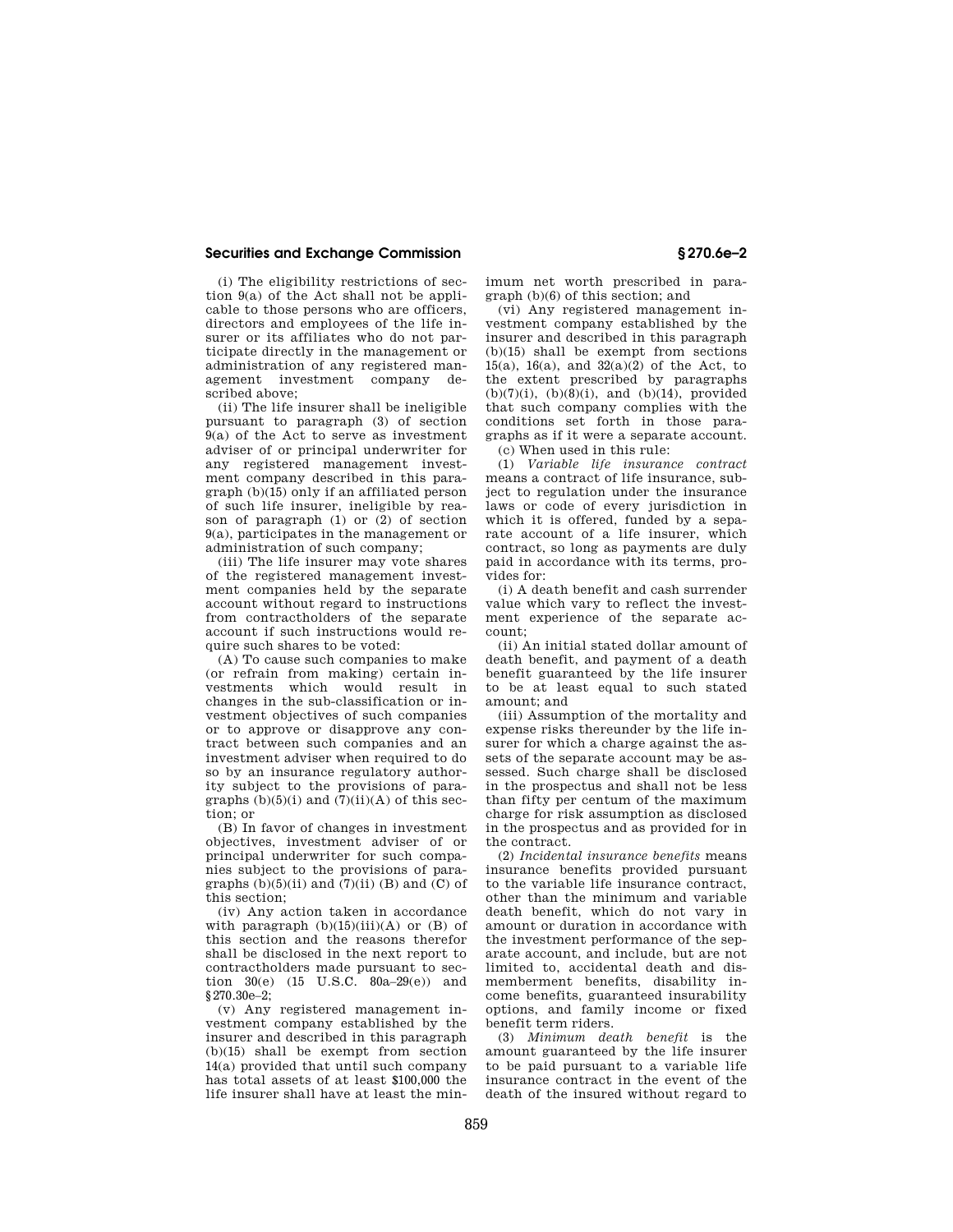(i) The eligibility restrictions of section 9(a) of the Act shall not be applicable to those persons who are officers, directors and employees of the life insurer or its affiliates who do not participate directly in the management or administration of any registered management investment company described above;

(ii) The life insurer shall be ineligible pursuant to paragraph (3) of section 9(a) of the Act to serve as investment adviser of or principal underwriter for any registered management investment company described in this paragraph (b)(15) only if an affiliated person of such life insurer, ineligible by reason of paragraph (1) or (2) of section 9(a), participates in the management or administration of such company;

(iii) The life insurer may vote shares of the registered management investment companies held by the separate account without regard to instructions from contractholders of the separate account if such instructions would require such shares to be voted:

(A) To cause such companies to make (or refrain from making) certain investments which would result in changes in the sub-classification or investment objectives of such companies or to approve or disapprove any contract between such companies and an investment adviser when required to do so by an insurance regulatory authority subject to the provisions of paragraphs  $(b)(5)(i)$  and  $(7)(ii)(A)$  of this section; or

(B) In favor of changes in investment objectives, investment adviser of or principal underwriter for such companies subject to the provisions of paragraphs  $(b)(5)(ii)$  and  $(7)(ii)$  (B) and  $(C)$  of this section;

(iv) Any action taken in accordance with paragraph  $(b)(15)(iii)(A)$  or  $(B)$  of this section and the reasons therefor shall be disclosed in the next report to contractholders made pursuant to section 30(e) (15 U.S.C. 80a–29(e)) and  $$270.30e-2$ 

(v) Any registered management investment company established by the insurer and described in this paragraph (b)(15) shall be exempt from section 14(a) provided that until such company has total assets of at least \$100,000 the life insurer shall have at least the minimum net worth prescribed in paragraph (b)(6) of this section; and

(vi) Any registered management investment company established by the insurer and described in this paragraph (b)(15) shall be exempt from sections 15(a), 16(a), and  $32(a)(2)$  of the Act, to the extent prescribed by paragraphs  $(b)(7)(i)$ ,  $(b)(8)(i)$ , and  $(b)(14)$ , provided that such company complies with the conditions set forth in those paragraphs as if it were a separate account.

(c) When used in this rule:

(1) *Variable life insurance contract*  means a contract of life insurance, subject to regulation under the insurance laws or code of every jurisdiction in which it is offered, funded by a separate account of a life insurer, which contract, so long as payments are duly paid in accordance with its terms, pro-.<br>vides for:

(i) A death benefit and cash surrender value which vary to reflect the investment experience of the separate account;

(ii) An initial stated dollar amount of death benefit, and payment of a death benefit guaranteed by the life insurer to be at least equal to such stated amount; and

(iii) Assumption of the mortality and expense risks thereunder by the life insurer for which a charge against the assets of the separate account may be assessed. Such charge shall be disclosed in the prospectus and shall not be less than fifty per centum of the maximum charge for risk assumption as disclosed in the prospectus and as provided for in the contract.

(2) *Incidental insurance benefits* means insurance benefits provided pursuant to the variable life insurance contract, other than the minimum and variable death benefit, which do not vary in amount or duration in accordance with the investment performance of the separate account, and include, but are not limited to, accidental death and dismemberment benefits, disability income benefits, guaranteed insurability options, and family income or fixed benefit term riders.

(3) *Minimum death benefit* is the amount guaranteed by the life insurer to be paid pursuant to a variable life insurance contract in the event of the death of the insured without regard to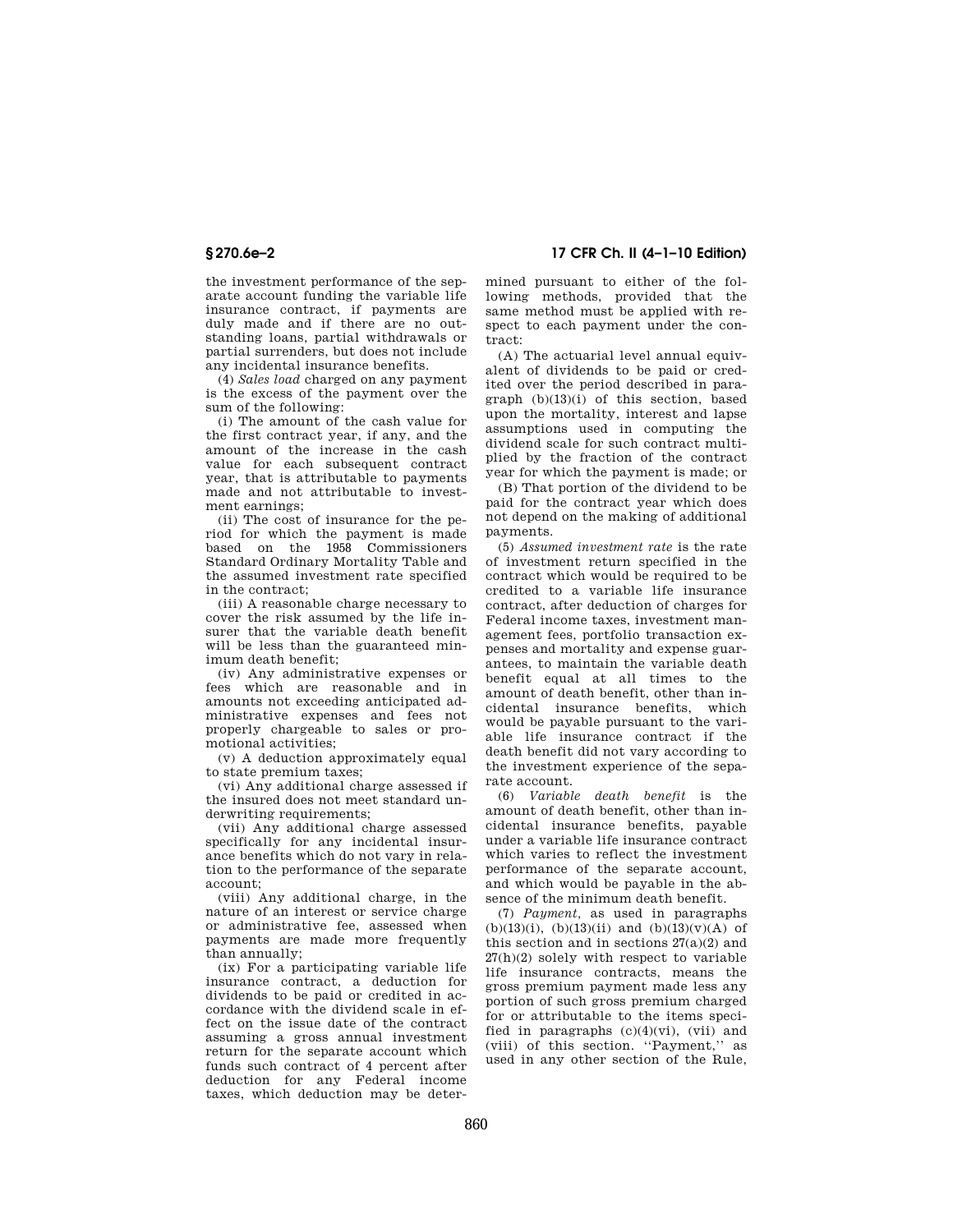the investment performance of the separate account funding the variable life insurance contract, if payments are duly made and if there are no outstanding loans, partial withdrawals or partial surrenders, but does not include any incidental insurance benefits.

(4) *Sales load* charged on any payment is the excess of the payment over the sum of the following:

(i) The amount of the cash value for the first contract year, if any, and the amount of the increase in the cash value for each subsequent contract year, that is attributable to payments made and not attributable to investment earnings;

(ii) The cost of insurance for the period for which the payment is made based on the 1958 Commissioners Standard Ordinary Mortality Table and the assumed investment rate specified in the contract;

(iii) A reasonable charge necessary to cover the risk assumed by the life insurer that the variable death benefit will be less than the guaranteed minimum death benefit;

(iv) Any administrative expenses or fees which are reasonable and in amounts not exceeding anticipated administrative expenses and fees not properly chargeable to sales or promotional activities;

(v) A deduction approximately equal to state premium taxes;

(vi) Any additional charge assessed if the insured does not meet standard underwriting requirements;

(vii) Any additional charge assessed specifically for any incidental insurance benefits which do not vary in relation to the performance of the separate account;

(viii) Any additional charge, in the nature of an interest or service charge or administrative fee, assessed when payments are made more frequently than annually;

(ix) For a participating variable life insurance contract, a deduction for dividends to be paid or credited in accordance with the dividend scale in effect on the issue date of the contract assuming a gross annual investment return for the separate account which funds such contract of 4 percent after deduction for any Federal income taxes, which deduction may be deter-

**§ 270.6e–2 17 CFR Ch. II (4–1–10 Edition)** 

mined pursuant to either of the following methods, provided that the same method must be applied with respect to each payment under the contract:

(A) The actuarial level annual equivalent of dividends to be paid or credited over the period described in paragraph (b)(13)(i) of this section, based upon the mortality, interest and lapse assumptions used in computing the dividend scale for such contract multiplied by the fraction of the contract year for which the payment is made; or

(B) That portion of the dividend to be paid for the contract year which does not depend on the making of additional payments.

(5) *Assumed investment rate* is the rate of investment return specified in the contract which would be required to be credited to a variable life insurance contract, after deduction of charges for Federal income taxes, investment management fees, portfolio transaction expenses and mortality and expense guarantees, to maintain the variable death benefit equal at all times to the amount of death benefit, other than incidental insurance benefits, which would be payable pursuant to the variable life insurance contract if the death benefit did not vary according to the investment experience of the separate account.

(6) *Variable death benefit* is the amount of death benefit, other than incidental insurance benefits, payable under a variable life insurance contract which varies to reflect the investment performance of the separate account, and which would be payable in the absence of the minimum death benefit.

(7) *Payment,* as used in paragraphs  $(b)(13)(i)$ ,  $(b)(13)(ii)$  and  $(b)(13)(v)(A)$  of this section and in sections  $27(a)(2)$  and 27(h)(2) solely with respect to variable life insurance contracts, means the gross premium payment made less any portion of such gross premium charged for or attributable to the items specified in paragraphs  $(c)(4)(vi)$ ,  $(vii)$  and (viii) of this section. ''Payment,'' as used in any other section of the Rule,